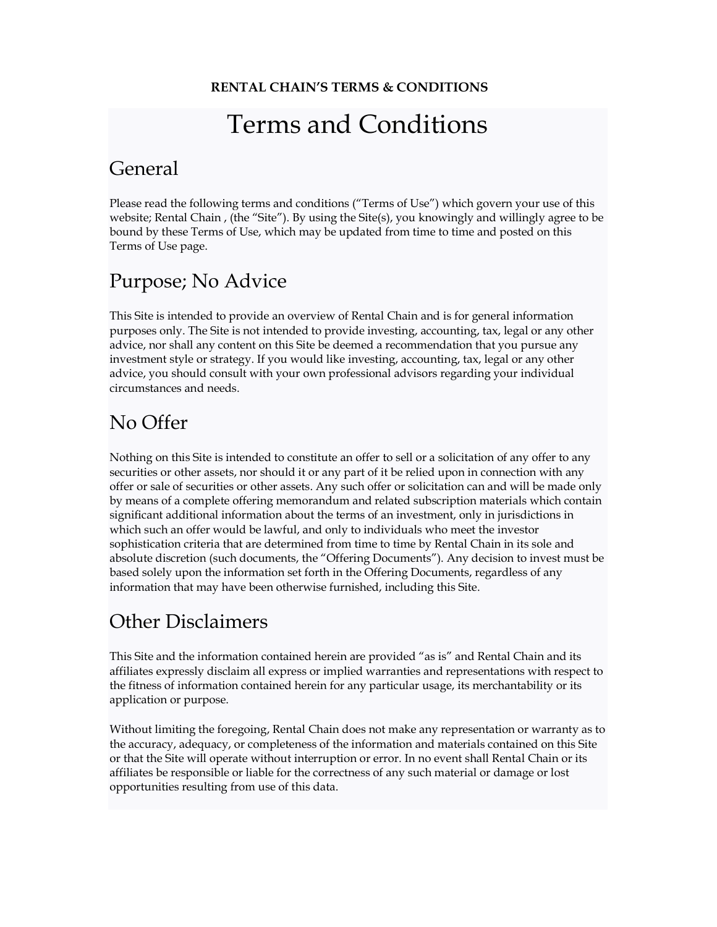# Terms and Conditions

#### General

Please read the following terms and conditions ("Terms of Use") which govern your use of this website; Rental Chain , (the "Site"). By using the Site(s), you knowingly and willingly agree to be bound by these Terms of Use, which may be updated from time to time and posted on this Terms of Use page.

## Purpose; No Advice

This Site is intended to provide an overview of Rental Chain and is for general information purposes only. The Site is not intended to provide investing, accounting, tax, legal or any other advice, nor shall any content on this Site be deemed a recommendation that you pursue any investment style or strategy. If you would like investing, accounting, tax, legal or any other advice, you should consult with your own professional advisors regarding your individual circumstances and needs.

#### No Offer

Nothing on this Site is intended to constitute an offer to sell or a solicitation of any offer to any securities or other assets, nor should it or any part of it be relied upon in connection with any offer or sale of securities or other assets. Any such offer or solicitation can and will be made only by means of a complete offering memorandum and related subscription materials which contain significant additional information about the terms of an investment, only in jurisdictions in which such an offer would be lawful, and only to individuals who meet the investor sophistication criteria that are determined from time to time by Rental Chain in its sole and absolute discretion (such documents, the "Offering Documents"). Any decision to invest must be based solely upon the information set forth in the Offering Documents, regardless of any information that may have been otherwise furnished, including this Site.

### Other Disclaimers

This Site and the information contained herein are provided "as is" and Rental Chain and its affiliates expressly disclaim all express or implied warranties and representations with respect to the fitness of information contained herein for any particular usage, its merchantability or its application or purpose.

Without limiting the foregoing, Rental Chain does not make any representation or warranty as to the accuracy, adequacy, or completeness of the information and materials contained on this Site or that the Site will operate without interruption or error. In no event shall Rental Chain or its affiliates be responsible or liable for the correctness of any such material or damage or lost opportunities resulting from use of this data.